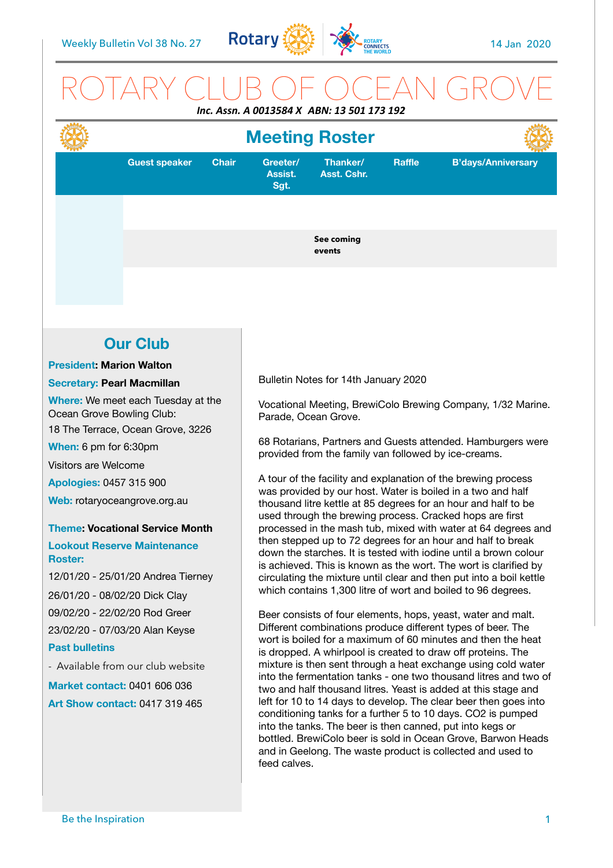

## ROTARY CLUB OF OCEAN GROVE *Inc. Assn. A 0013584 X ABN: 13 501 173 192*

#### Bulletin Notes for 14th January 2020 Vocational Meeting, BrewiColo Brewing Company, 1/32 Marine. Parade, Ocean Grove. 68 Rotarians, Partners and Guests attended. Hamburgers were provided from the family van followed by ice-creams. A tour of the facility and explanation of the brewing process was provided by our host. Water is boiled in a two and half thousand litre kettle at 85 degrees for an hour and half to be used through the brewing process. Cracked hops are first processed in the mash tub, mixed with water at 64 degrees and then stepped up to 72 degrees for an hour and half to break down the starches. It is tested with iodine until a brown colour is achieved. This is known as the wort. The wort is clarified by circulating the mixture until clear and then put into a boil kettle which contains 1,300 litre of wort and boiled to 96 degrees. Beer consists of four elements, hops, yeast, water and malt. Different combinations produce different types of beer. The wort is boiled for a maximum of 60 minutes and then the heat is dropped. A whirlpool is created to draw off proteins. The mixture is then sent through a heat exchange using cold water into the fermentation tanks - one two thousand litres and two of two and half thousand litres. Yeast is added at this stage and left for 10 to 14 days to develop. The clear beer then goes into conditioning tanks for a further 5 to 10 days. CO2 is pumped into the tanks. The beer is then canned, put into kegs or bottled. BrewiColo beer is sold in Ocean Grove, Barwon Heads **Our Club President: Marion Walton Secretary: Pearl Macmillan Where:** We meet each Tuesday at the Ocean Grove Bowling Club: 18 The Terrace, Ocean Grove, 3226 **When:** 6 pm for 6:30pm Visitors are Welcome **Apologies:** 0457 315 900 **Web:** rotaryoceangrove.org.au **Theme: Vocational Service Month Lookout Reserve Maintenance Roster:**  12/01/20 - 25/01/20 Andrea Tierney 26/01/20 - 08/02/20 Dick Clay 09/02/20 - 22/02/20 Rod Greer 23/02/20 - 07/03/20 Alan Keyse **Past bulletins**  - Available from our club website **Market contact:** 0401 606 036 **Art Show contact:** 0417 319 465 **Guest speaker Chair Greeter/ Assist. Sgt. Thanker/ Asst. Cshr. Raffle B'days/Anniversary See coming events Meeting Roster**

feed calves.

and in Geelong. The waste product is collected and used to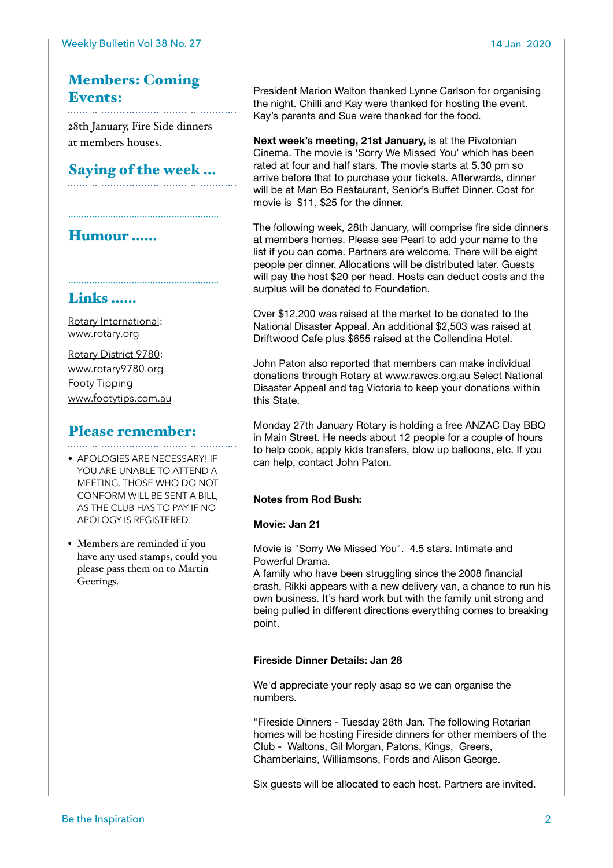## Members: Coming Events:

28th January, Fire Side dinners at members houses.

Saying of the week …

…………………………………………………

## Humour ……

## Links ……

[Rotary International:](https://www.rotary.org) [www.rotary.org](http://www.rotary.org)

[Rotary District 9780](http://rotary9780.org): [www.rotary9780.org](http://www.rotary9780.org)  [Footy Tipping](http://www.footytips.com.au) [www.footytips.com.au](http://www.footytips.com.au)

# Please remember:

- APOLOGIES ARE NECESSARY! IF YOU ARE UNABLE TO ATTEND A MEETING. THOSE WHO DO NOT CONFORM WILL BE SENT A BILL, AS THE CLUB HAS TO PAY IF NO APOLOGY IS REGISTERED.
- Members are reminded if you have any used stamps, could you please pass them on to Martin Geerings.

President Marion Walton thanked Lynne Carlson for organising the night. Chilli and Kay were thanked for hosting the event. Kay's parents and Sue were thanked for the food.

**Next week's meeting, 21st January,** is at the Pivotonian Cinema. The movie is 'Sorry We Missed You' which has been rated at four and half stars. The movie starts at 5.30 pm so arrive before that to purchase your tickets. Afterwards, dinner will be at Man Bo Restaurant, Senior's Buffet Dinner. Cost for movie is \$11, \$25 for the dinner.

The following week, 28th January, will comprise fire side dinners at members homes. Please see Pearl to add your name to the list if you can come. Partners are welcome. There will be eight people per dinner. Allocations will be distributed later. Guests will pay the host \$20 per head. Hosts can deduct costs and the surplus will be donated to Foundation.

Over \$12,200 was raised at the market to be donated to the National Disaster Appeal. An additional \$2,503 was raised at Driftwood Cafe plus \$655 raised at the Collendina Hotel.

John Paton also reported that members can make individual donations through Rotary at www.rawcs.org.au Select National Disaster Appeal and tag Victoria to keep your donations within this State.

Monday 27th January Rotary is holding a free ANZAC Day BBQ in Main Street. He needs about 12 people for a couple of hours to help cook, apply kids transfers, blow up balloons, etc. If you can help, contact John Paton.

### **Notes from Rod Bush:**

#### **Movie: Jan 21**

Movie is "Sorry We Missed You". 4.5 stars. Intimate and Powerful Drama.

A family who have been struggling since the 2008 financial crash, Rikki appears with a new delivery van, a chance to run his own business. It's hard work but with the family unit strong and being pulled in different directions everything comes to breaking point.

#### **Fireside Dinner Details: Jan 28**

We'd appreciate your reply asap so we can organise the numbers.

"Fireside Dinners - Tuesday 28th Jan. The following Rotarian homes will be hosting Fireside dinners for other members of the Club - Waltons, Gil Morgan, Patons, Kings, Greers, Chamberlains, Williamsons, Fords and Alison George.

Six guests will be allocated to each host. Partners are invited.